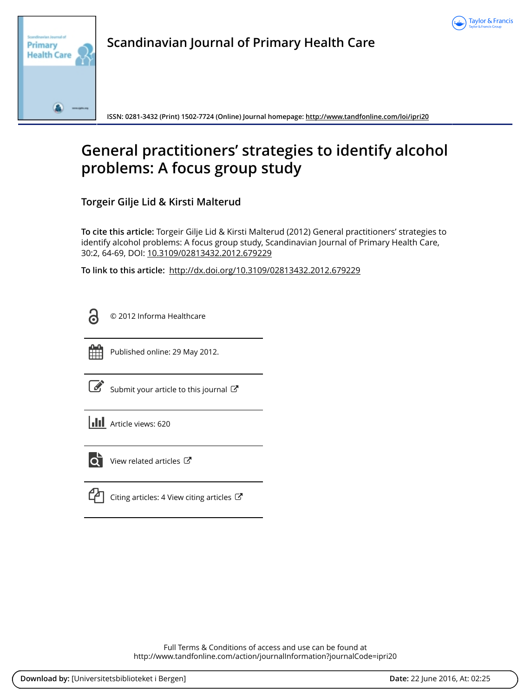



**Scandinavian Journal of Primary Health Care**

**ISSN: 0281-3432 (Print) 1502-7724 (Online) Journal homepage:<http://www.tandfonline.com/loi/ipri20>**

# **General practitioners' strategies to identify alcohol problems: A focus group study**

**Torgeir Gilje Lid & Kirsti Malterud**

**To cite this article:** Torgeir Gilje Lid & Kirsti Malterud (2012) General practitioners' strategies to identify alcohol problems: A focus group study, Scandinavian Journal of Primary Health Care, 30:2, 64-69, DOI: [10.3109/02813432.2012.679229](http://www.tandfonline.com/action/showCitFormats?doi=10.3109/02813432.2012.679229)

**To link to this article:** <http://dx.doi.org/10.3109/02813432.2012.679229>

© 2012 Informa Healthcare



Published online: 29 May 2012.

[Submit your article to this journal](http://www.tandfonline.com/action/authorSubmission?journalCode=ipri20&page=instructions)  $\mathbb{Z}$ 





[View related articles](http://www.tandfonline.com/doi/mlt/10.3109/02813432.2012.679229) C



[Citing articles: 4 View citing articles](http://www.tandfonline.com/doi/citedby/10.3109/02813432.2012.679229#tabModule)  $\mathbb{Z}$ 

Full Terms & Conditions of access and use can be found at <http://www.tandfonline.com/action/journalInformation?journalCode=ipri20>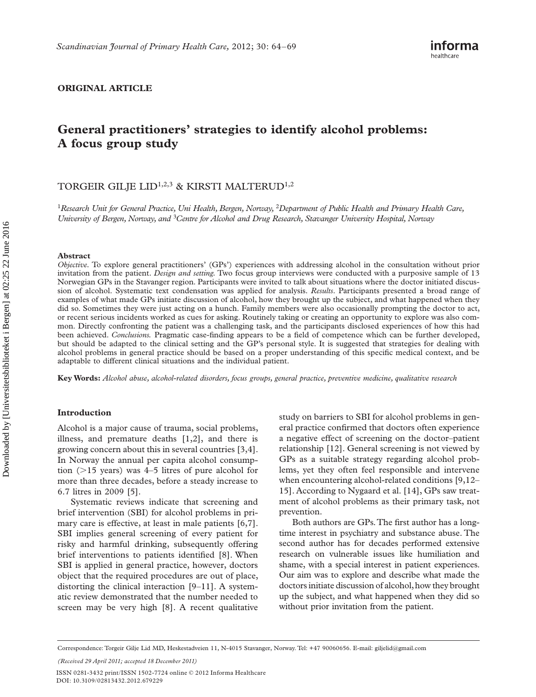## **ORIGINAL ARTICLE**

## General practitioners' strategies to identify alcohol problems: **A focus group study**

## TORGEIR GILJE LID<sup>1,2,3</sup> & KIRSTI MALTERUD<sup>1,2</sup>

<sup>1</sup> Research Unit for General Practice, Uni Health, Bergen, Norway, <sup>2</sup> Department of Public Health and Primary Health Care, *University of Bergen, Norway,and* <sup>3</sup>*Centre for Alcohol and Drug Research, Stavanger University Hospital, Norway* 

## **Abstract**

*Objective*. To explore general practitioners' (GPs') experiences with addressing alcohol in the consultation without prior invitation from the patient. *Design and setting.* Two focus group interviews were conducted with a purposive sample of 13 Norwegian GPs in the Stavanger region. Participants were invited to talk about situations where the doctor initiated discussion of alcohol. Systematic text condensation was applied for analysis. *Results*. Participants presented a broad range of examples of what made GPs initiate discussion of alcohol, how they brought up the subject, and what happened when they did so. Sometimes they were just acting on a hunch. Family members were also occasionally prompting the doctor to act, or recent serious incidents worked as cues for asking. Routinely taking or creating an opportunity to explore was also common. Directly confronting the patient was a challenging task, and the participants disclosed experiences of how this had been achieved. *Conclusions*. Pragmatic case-finding appears to be a field of competence which can be further developed, but should be adapted to the clinical setting and the GP's personal style. It is suggested that strategies for dealing with alcohol problems in general practice should be based on a proper understanding of this specific medical context, and be adaptable to different clinical situations and the individual patient.

**Key Words:** *Alcohol abuse , alcohol-related disorders , focus groups , general practice , preventive medicine , qualitative research* 

## **Introduction**

Alcohol is a major cause of trauma, social problems, illness, and premature deaths [1,2], and there is growing concern about this in several countries [3,4]. In Norway the annual per capita alcohol consumption  $($ >15 years) was 4–5 litres of pure alcohol for more than three decades, before a steady increase to 6.7 litres in 2009 [5].

Systematic reviews indicate that screening and brief intervention (SBI) for alcohol problems in primary care is effective, at least in male patients [6,7]. SBI implies general screening of every patient for risky and harmful drinking, subsequently offering brief interventions to patients identified [8]. When SBI is applied in general practice, however, doctors object that the required procedures are out of place, distorting the clinical interaction  $[9-11]$ . A systematic review demonstrated that the number needed to screen may be very high [8]. A recent qualitative study on barriers to SBI for alcohol problems in general practice confirmed that doctors often experience a negative effect of screening on the doctor-patient relationship [12]. General screening is not viewed by GPs as a suitable strategy regarding alcohol problems, yet they often feel responsible and intervene when encountering alcohol-related conditions [9,12– 15]. According to Nygaard et al. [14], GPs saw treatment of alcohol problems as their primary task, not prevention.

Both authors are GPs. The first author has a longtime interest in psychiatry and substance abuse. The second author has for decades performed extensive research on vulnerable issues like humiliation and shame, with a special interest in patient experiences. Our aim was to explore and describe what made the doctors initiate discussion of alcohol, how they brought up the subject, and what happened when they did so without prior invitation from the patient.

*(Received 29 April 2011; accepted 18 December 2011)* 

ISSN 0281-3432 print/ISSN 1502-7724 online © 2012 Informa Healthcare DOI: 10.3109/02813432.2012.679229

Correspondence: Torgeir Gilje Lid MD, Heskestadveien 11, N-4015 Stavanger, Norway. Tel: +47 90060656. E-mail: giljelid@gmail.com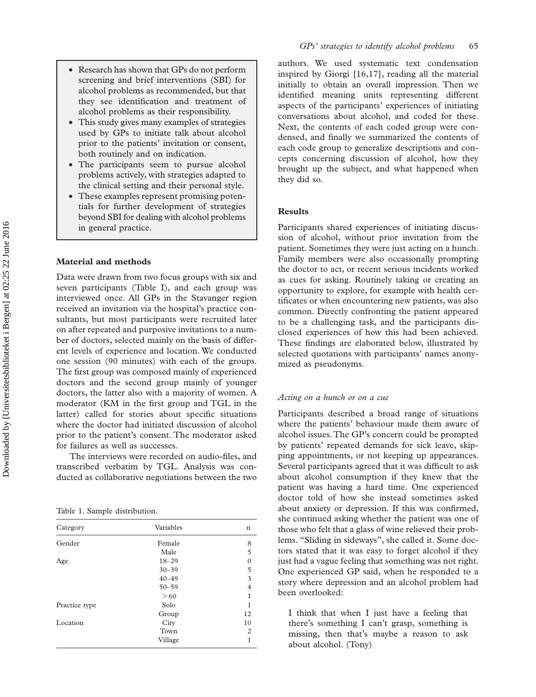- Research has shown that GPs do not perform screening and brief interventions (SBI) for alcohol problems as recommended, but that they see identification and treatment of alcohol problems as their responsibility.
- This study gives many examples of strategies used by GPs to initiate talk about alcohol prior to the patients' invitation or consent, both routinely and on indication.
- The participants seem to pursue alcohol problems actively, with strategies adapted to the clinical setting and their personal style.
- These examples represent promising potentials for further development of strategies beyond SBI for dealing with alcohol problems in general practice.

## **Material and methods**

Data were drawn from two focus groups with six and seven participants (Table I), and each group was interviewed once. All GPs in the Stavanger region received an invitation via the hospital's practice consultants, but most participants were recruited later on after repeated and purposive invitations to a number of doctors, selected mainly on the basis of different levels of experience and location. We conducted one session (90 minutes) with each of the groups. The first group was composed mainly of experienced doctors and the second group mainly of younger doctors, the latter also with a majority of women. A moderator (KM in the first group and TGL in the latter) called for stories about specific situations where the doctor had initiated discussion of alcohol prior to the patient's consent. The moderator asked for failures as well as successes.

The interviews were recorded on audio-files, and transcribed verbatim by TGL. Analysis was conducted as collaborative negotiations between the two

Table 1. Sample distribution.

| Category      | Variables | n              |
|---------------|-----------|----------------|
| Gender        | Female    | 8              |
|               | Male      | 5              |
| Age           | $18 - 29$ | 0              |
|               | $30 - 39$ | 5              |
|               | $40 - 49$ | 3              |
|               | $50 - 59$ | $\overline{4}$ |
|               | > 60      |                |
| Practice type | Solo      |                |
|               | Group     | 12             |
| Location      | City      | 10             |
|               | Town      | $\mathbf{2}$   |
|               | Village   | 1              |

authors. We used systematic text condensation inspired by Giorgi [16,17], reading all the material initially to obtain an overall impression. Then we identified meaning units representing different aspects of the participants' experiences of initiating conversations about alcohol, and coded for these. Next, the contents of each coded group were condensed, and finally we summarized the contents of each code group to generalize descriptions and concepts concerning discussion of alcohol, how they brought up the subject, and what happened when they did so.

## **Results**

Participants shared experiences of initiating discussion of alcohol, without prior invitation from the patient. Sometimes they were just acting on a hunch. Family members were also occasionally prompting the doctor to act, or recent serious incidents worked as cues for asking. Routinely taking or creating an opportunity to explore, for example with health certificates or when encountering new patients, was also common. Directly confronting the patient appeared to be a challenging task, and the participants disclosed experiences of how this had been achieved. These findings are elaborated below, illustrated by selected quotations with participants' names anonymized as pseudonyms.

## *Acting on a hunch or on a cue*

Participants described a broad range of situations where the patients' behaviour made them aware of alcohol issues. The GP's concern could be prompted by patients' repeated demands for sick leave, skipping appointments, or not keeping up appearances. Several participants agreed that it was difficult to ask about alcohol consumption if they knew that the patient was having a hard time. One experienced doctor told of how she instead sometimes asked about anxiety or depression. If this was confirmed, she continued asking whether the patient was one of those who felt that a glass of wine relieved their problems. "Sliding in sideways", she called it. Some doctors stated that it was easy to forget alcohol if they just had a vague feeling that something was not right. One experienced GP said, when he responded to a story where depression and an alcohol problem had been overlooked:

I think that when I just have a feeling that there's something I can't grasp, something is missing, then that's maybe a reason to ask about alcohol. (Tony)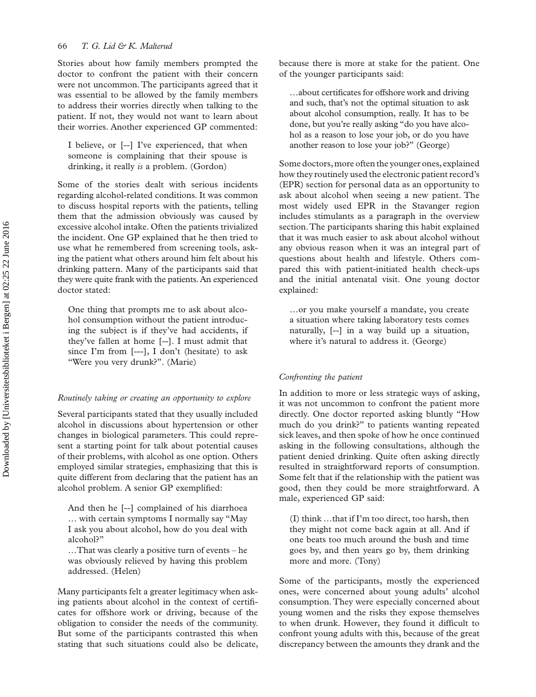Stories about how family members prompted the doctor to confront the patient with their concern were not uncommon. The participants agreed that it was essential to be allowed by the family members to address their worries directly when talking to the patient. If not, they would not want to learn about their worries. Another experienced GP commented:

I believe, or [--] I've experienced, that when someone is complaining that their spouse is drinking, it really *is* a problem. (Gordon)

Some of the stories dealt with serious incidents regarding alcohol-related conditions. It was common to discuss hospital reports with the patients, telling them that the admission obviously was caused by excessive alcohol intake. Often the patients trivialized the incident. One GP explained that he then tried to use what he remembered from screening tools, asking the patient what others around him felt about his drinking pattern. Many of the participants said that they were quite frank with the patients. An experienced doctor stated:

One thing that prompts me to ask about alcohol consumption without the patient introducing the subject is if they've had accidents, if they've fallen at home  $[-]$ . I must admit that since I'm from  $[--]$ , I don't (hesitate) to ask "Were you very drunk?". (Marie)

## *Routinely taking or creating an opportunity to explore*

Several participants stated that they usually included alcohol in discussions about hypertension or other changes in biological parameters. This could represent a starting point for talk about potential causes of their problems, with alcohol as one option. Others employed similar strategies, emphasizing that this is quite different from declaring that the patient has an alcohol problem. A senior GP exemplified:

And then he [--] complained of his diarrhoea … with certain symptoms I normally say " May I ask you about alcohol, how do you deal with alcohol?"

…That was clearly a positive turn of events –he was obviously relieved by having this problem addressed. (Helen)

Many participants felt a greater legitimacy when asking patients about alcohol in the context of certificates for offshore work or driving, because of the obligation to consider the needs of the community. But some of the participants contrasted this when stating that such situations could also be delicate, because there is more at stake for the patient. One of the younger participants said:

...about certificates for offshore work and driving and such, that's not the optimal situation to ask about alcohol consumption, really. It has to be done, but you're really asking "do you have alcohol as a reason to lose your job, or do you have another reason to lose your job?" (George)

Some doctors, more often the younger ones, explained how they routinely used the electronic patient record's (EPR) section for personal data as an opportunity to ask about alcohol when seeing a new patient. The most widely used EPR in the Stavanger region includes stimulants as a paragraph in the overview section. The participants sharing this habit explained that it was much easier to ask about alcohol without any obvious reason when it was an integral part of questions about health and lifestyle. Others compared this with patient-initiated health check-ups and the initial antenatal visit. One young doctor explained:

…or you make yourself a mandate, you create a situation where taking laboratory tests comes naturally, [--] in a way build up a situation, where it's natural to address it. (George)

## *Confronting the patient*

In addition to more or less strategic ways of asking, it was not uncommon to confront the patient more directly. One doctor reported asking bluntly "How much do you drink?" to patients wanting repeated sick leaves, and then spoke of how he once continued asking in the following consultations, although the patient denied drinking. Quite often asking directly resulted in straightforward reports of consumption. Some felt that if the relationship with the patient was good, then they could be more straightforward. A male, experienced GP said:

(I) think  $\dots$  that if I'm too direct, too harsh, then they might not come back again at all. And if one beats too much around the bush and time goes by, and then years go by, them drinking more and more. (Tony)

Some of the participants, mostly the experienced ones, were concerned about young adults' alcohol consumption. They were especially concerned about young women and the risks they expose themselves to when drunk. However, they found it difficult to confront young adults with this, because of the great discrepancy between the amounts they drank and the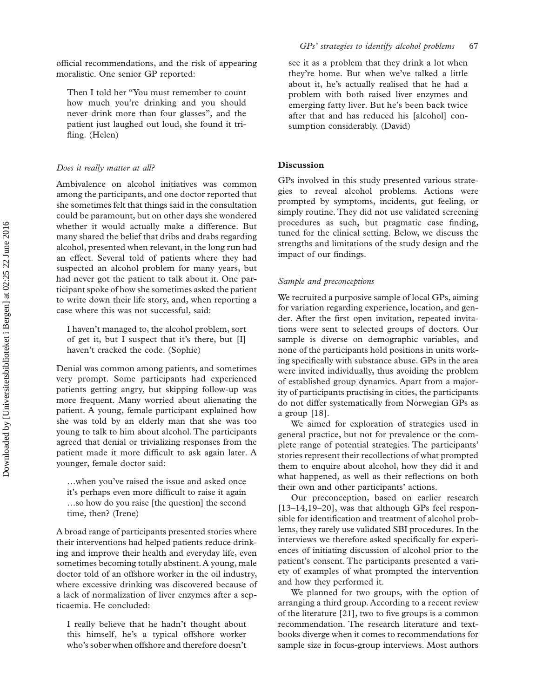Then I told her "You must remember to count how much you're drinking and you should never drink more than four glasses", and the patient just laughed out loud, she found it trifling. (Helen)

## *Does it really matter at all?*

Ambivalence on alcohol initiatives was common among the participants, and one doctor reported that she sometimes felt that things said in the consultation could be paramount, but on other days she wondered whether it would actually make a difference. But many shared the belief that dribs and drabs regarding alcohol, presented when relevant, in the long run had an effect. Several told of patients where they had suspected an alcohol problem for many years, but had never got the patient to talk about it. One participant spoke of how she sometimes asked the patient to write down their life story, and, when reporting a case where this was not successful, said:

I haven't managed to, the alcohol problem, sort of get it, but I suspect that it's there, but  $[I]$ haven't cracked the code. (Sophie)

Denial was common among patients, and sometimes very prompt. Some participants had experienced patients getting angry, but skipping follow-up was more frequent. Many worried about alienating the patient. A young, female participant explained how she was told by an elderly man that she was too young to talk to him about alcohol. The participants agreed that denial or trivializing responses from the patient made it more difficult to ask again later. A younger, female doctor said:

...when you've raised the issue and asked once it's perhaps even more difficult to raise it again …so how do you raise [the question] the second time, then? (Irene)

A broad range of participants presented stories where their interventions had helped patients reduce drinking and improve their health and everyday life, even sometimes becoming totally abstinent. A young, male doctor told of an offshore worker in the oil industry, where excessive drinking was discovered because of a lack of normalization of liver enzymes after a septicaemia. He concluded:

I really believe that he hadn't thought about this himself, he's a typical offshore worker who's sober when offshore and therefore doesn't see it as a problem that they drink a lot when they're home. But when we've talked a little about it, he's actually realised that he had a problem with both raised liver enzymes and emerging fatty liver. But he's been back twice after that and has reduced his [alcohol] consumption considerably. (David)

## **Discussion**

GPs involved in this study presented various strategies to reveal alcohol problems. Actions were prompted by symptoms, incidents, gut feeling, or simply routine. They did not use validated screening procedures as such, but pragmatic case finding, tuned for the clinical setting. Below, we discuss the strengths and limitations of the study design and the impact of our findings.

## *Sample and preconceptions*

We recruited a purposive sample of local GPs, aiming for variation regarding experience, location, and gender. After the first open invitation, repeated invitations were sent to selected groups of doctors. Our sample is diverse on demographic variables, and none of the participants hold positions in units working specifically with substance abuse. GPs in the area were invited individually, thus avoiding the problem of established group dynamics. Apart from a majority of participants practising in cities, the participants do not differ systematically from Norwegian GPs as a group [18].

We aimed for exploration of strategies used in general practice, but not for prevalence or the complete range of potential strategies. The participants ' stories represent their recollections of what prompted them to enquire about alcohol, how they did it and what happened, as well as their reflections on both their own and other participants' actions.

Our preconception, based on earlier research  $[13 - 14, 19 - 20]$ , was that although GPs feel responsible for identification and treatment of alcohol problems, they rarely use validated SBI procedures. In the interviews we therefore asked specifically for experiences of initiating discussion of alcohol prior to the patient's consent. The participants presented a variety of examples of what prompted the intervention and how they performed it.

We planned for two groups, with the option of arranging a third group. According to a recent review of the literature  $[21]$ , two to five groups is a common recommendation. The research literature and textbooks diverge when it comes to recommendations for sample size in focus-group interviews. Most authors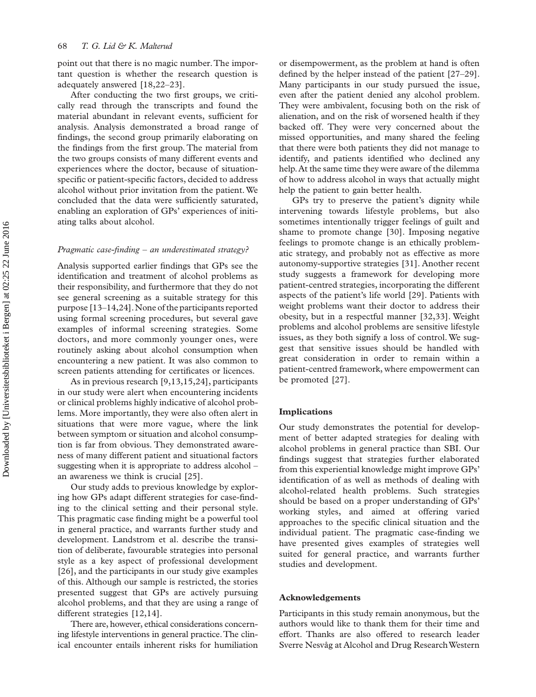point out that there is no magic number. The important question is whether the research question is adequately answered  $[18, 22-23]$ .

After conducting the two first groups, we critically read through the transcripts and found the material abundant in relevant events, sufficient for analysis. Analysis demonstrated a broad range of findings, the second group primarily elaborating on the findings from the first group. The material from the two groups consists of many different events and experiences where the doctor, because of situationspecific or patient-specific factors, decided to address alcohol without prior invitation from the patient. We concluded that the data were sufficiently saturated, enabling an exploration of GPs' experiences of initiating talks about alcohol.

## *Pragmatic case-finding – an underestimated strategy?*

Analysis supported earlier findings that GPs see the identification and treatment of alcohol problems as their responsibility, and furthermore that they do not see general screening as a suitable strategy for this purpose  $[13-14,24]$ . None of the participants reported using formal screening procedures, but several gave examples of informal screening strategies. Some doctors, and more commonly younger ones, were routinely asking about alcohol consumption when encountering a new patient. It was also common to screen patients attending for certificates or licences.

As in previous research [9,13,15,24], participants in our study were alert when encountering incidents or clinical problems highly indicative of alcohol problems. More importantly, they were also often alert in situations that were more vague, where the link between symptom or situation and alcohol consumption is far from obvious. They demonstrated awareness of many different patient and situational factors suggesting when it is appropriate to address alcohol – an awareness we think is crucial [25].

Our study adds to previous knowledge by exploring how GPs adapt different strategies for case-finding to the clinical setting and their personal style. This pragmatic case finding might be a powerful tool in general practice, and warrants further study and development. Landstrom et al. describe the transition of deliberate, favourable strategies into personal style as a key aspect of professional development [26], and the participants in our study give examples of this. Although our sample is restricted, the stories presented suggest that GPs are actively pursuing alcohol problems, and that they are using a range of different strategies [12,14].

There are, however, ethical considerations concerning lifestyle interventions in general practice. The clinical encounter entails inherent risks for humiliation or disempowerment, as the problem at hand is often defined by the helper instead of the patient  $[27-29]$ . Many participants in our study pursued the issue, even after the patient denied any alcohol problem. They were ambivalent, focusing both on the risk of alienation, and on the risk of worsened health if they backed off. They were very concerned about the missed opportunities, and many shared the feeling that there were both patients they did not manage to identify, and patients identified who declined any help. At the same time they were aware of the dilemma of how to address alcohol in ways that actually might help the patient to gain better health.

GPs try to preserve the patient's dignity while intervening towards lifestyle problems, but also sometimes intentionally trigger feelings of guilt and shame to promote change [30]. Imposing negative feelings to promote change is an ethically problematic strategy, and probably not as effective as more autonomy-supportive strategies [31]. Another recent study suggests a framework for developing more patient-centred strategies, incorporating the different aspects of the patient's life world [29]. Patients with weight problems want their doctor to address their obesity, but in a respectful manner [32,33]. Weight problems and alcohol problems are sensitive lifestyle issues, as they both signify a loss of control. We suggest that sensitive issues should be handled with great consideration in order to remain within a patient-centred framework, where empowerment can be promoted [27].

## **Implications**

Our study demonstrates the potential for development of better adapted strategies for dealing with alcohol problems in general practice than SBI. Our findings suggest that strategies further elaborated from this experiential knowledge might improve GPs ' identification of as well as methods of dealing with alcohol-related health problems. Such strategies should be based on a proper understanding of GPs ' working styles, and aimed at offering varied approaches to the specific clinical situation and the individual patient. The pragmatic case-finding we have presented gives examples of strategies well suited for general practice, and warrants further studies and development.

#### **Acknowledgements**

Participants in this study remain anonymous, but the authors would like to thank them for their time and effort. Thanks are also offered to research leader Sverre Nesvåg at Alcohol and Drug Research Western